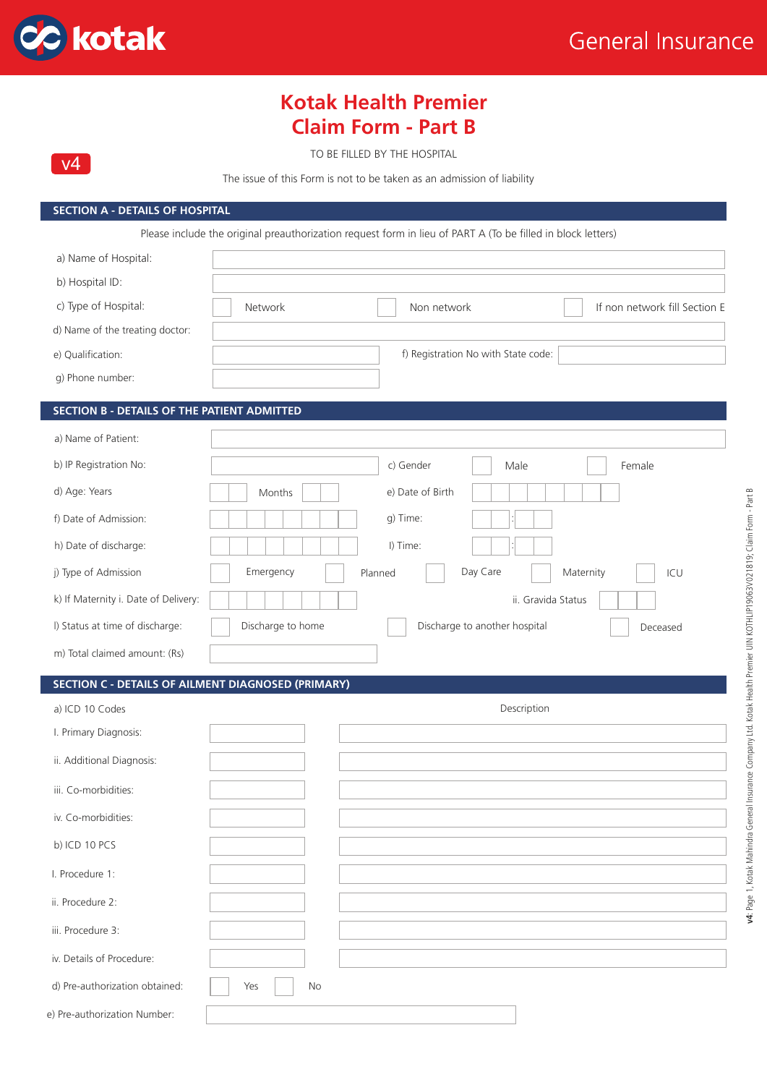

 $v<sub>4</sub>$ 

# **Kotak Health Premier Claim Form - Part B**

TO BE FILLED BY THE HOSPITAL

The issue of this Form is not to be taken as an admission of liability

#### **SECTION A - DETAILS OF HOSPITAL**

Please include the original preauthorization request form in lieu of PART A (To be filled in block letters)

| a) Name of Hospital:                               |                                                         |
|----------------------------------------------------|---------------------------------------------------------|
| b) Hospital ID:                                    |                                                         |
| c) Type of Hospital:                               | Network<br>If non network fill Section E<br>Non network |
| d) Name of the treating doctor:                    |                                                         |
| e) Qualification:                                  | f) Registration No with State code:                     |
| g) Phone number:                                   |                                                         |
| <b>SECTION B - DETAILS OF THE PATIENT ADMITTED</b> |                                                         |
| a) Name of Patient:                                |                                                         |
| b) IP Registration No:                             | c) Gender<br>Male<br>Female                             |
| d) Age: Years                                      | e) Date of Birth<br>Months                              |
| f) Date of Admission:                              | g) Time:                                                |
| h) Date of discharge:                              | I) Time:                                                |
| j) Type of Admission                               | Maternity<br>Day Care<br>Emergency<br>Planned<br>ICU    |
| k) If Maternity i. Date of Delivery:               | ii. Gravida Status                                      |

l) Status at time of discharge: Discharge to home Discharge to another hospital Deceased

#### **SECTION C - DETAILS OF AILMENT DIAGNOSED (PRIMARY)**

m) Total claimed amount: (Rs)

| a) ICD 10 Codes                |                  | Description |
|--------------------------------|------------------|-------------|
| I. Primary Diagnosis:          |                  |             |
| ii. Additional Diagnosis:      |                  |             |
| iii. Co-morbidities:           |                  |             |
| iv. Co-morbidities:            |                  |             |
| b) ICD 10 PCS                  |                  |             |
| I. Procedure 1:                |                  |             |
| ii. Procedure 2:               |                  |             |
| iii. Procedure 3:              |                  |             |
| iv. Details of Procedure:      |                  |             |
| d) Pre-authorization obtained: | <b>No</b><br>Yes |             |
| e) Pre-authorization Number:   |                  |             |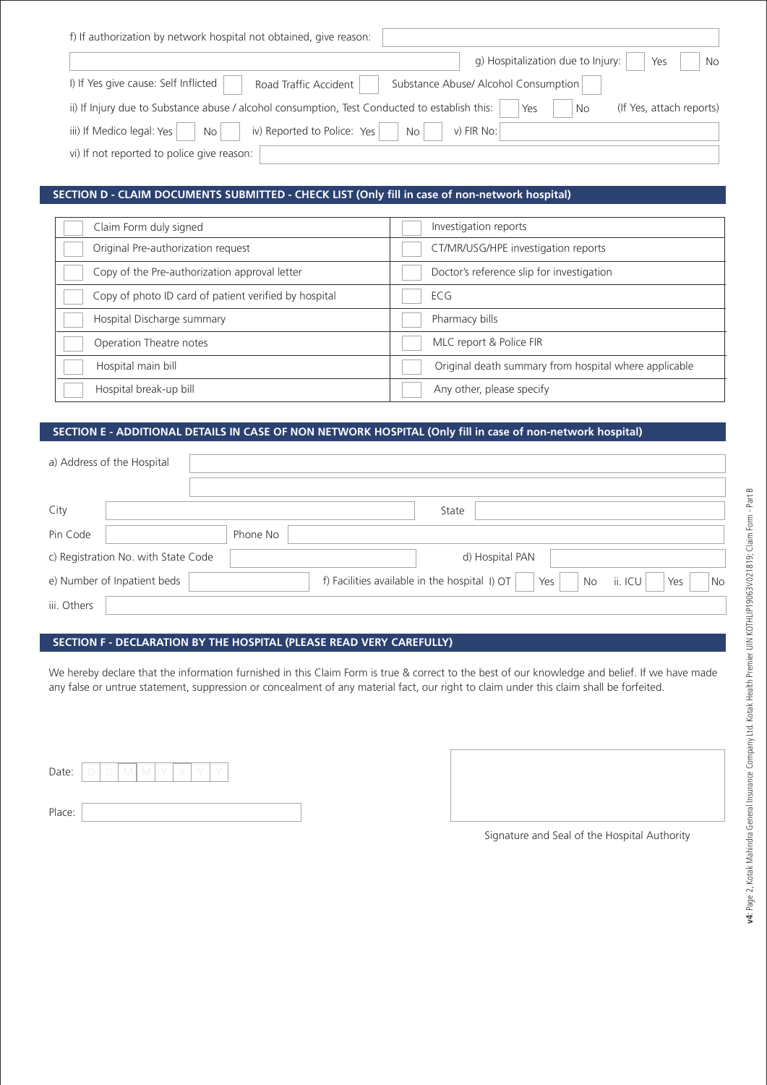| f) If authorization by network hospital not obtained, give reason:                            |                                                 |
|-----------------------------------------------------------------------------------------------|-------------------------------------------------|
|                                                                                               | g) Hospitalization due to Injury:<br>Yes<br>No. |
| I) If Yes give cause: Self Inflicted<br>Road Traffic Accident                                 | Substance Abuse/ Alcohol Consumption            |
| ii) If Injury due to Substance abuse / alcohol consumption, Test Conducted to establish this: | (If Yes, attach reports)<br>Yes<br>No           |
| iv) Reported to Police: Yes<br>iii) If Medico legal: Yes<br>No<br>No <sub>1</sub>             | $v)$ FIR No:                                    |
| vi) If not reported to police give reason:                                                    |                                                 |

## **SECTION D - CLAIM DOCUMENTS SUBMITTED - CHECK LIST (Only fill in case of non-network hospital)**

| Claim Form duly signed                                | Investigation reports                                 |
|-------------------------------------------------------|-------------------------------------------------------|
| Original Pre-authorization request                    | CT/MR/USG/HPE investigation reports                   |
| Copy of the Pre-authorization approval letter         | Doctor's reference slip for investigation             |
| Copy of photo ID card of patient verified by hospital | ECG                                                   |
| Hospital Discharge summary                            | Pharmacy bills                                        |
| Operation Theatre notes                               | MLC report & Police FIR                               |
| Hospital main bill                                    | Original death summary from hospital where applicable |
| Hospital break-up bill                                | Any other, please specify                             |

### **SECTION E - ADDITIONAL DETAILS IN CASE OF NON NETWORK HOSPITAL (Only fill in case of non-network hospital)**

|             | a) Address of the Hospital          |          |  |  |  |                                               |                 |     |    |         |     |    |
|-------------|-------------------------------------|----------|--|--|--|-----------------------------------------------|-----------------|-----|----|---------|-----|----|
|             |                                     |          |  |  |  |                                               |                 |     |    |         |     |    |
| City        |                                     |          |  |  |  | State                                         |                 |     |    |         |     |    |
| Pin Code    |                                     | Phone No |  |  |  |                                               |                 |     |    |         |     |    |
|             | c) Registration No. with State Code |          |  |  |  |                                               | d) Hospital PAN |     |    |         |     |    |
|             | e) Number of Inpatient beds         |          |  |  |  | f) Facilities available in the hospital I) OT |                 | Yes | No | ii. ICU | Yes | No |
| iii. Others |                                     |          |  |  |  |                                               |                 |     |    |         |     |    |

## **SECTION F - DECLARATION BY THE HOSPITAL (PLEASE READ VERY CAREFULLY)**

We hereby declare that the information furnished in this Claim Form is true & correct to the best of our knowledge and belief. If we have made any false or untrue statement, suppression or concealment of any material fact, our right to claim under this claim shall be forfeited.

| Date:  |  | IV. |  |  |  |  |
|--------|--|-----|--|--|--|--|
|        |  |     |  |  |  |  |
| Place: |  |     |  |  |  |  |

| Signature and Seal of the Hospital Authority |
|----------------------------------------------|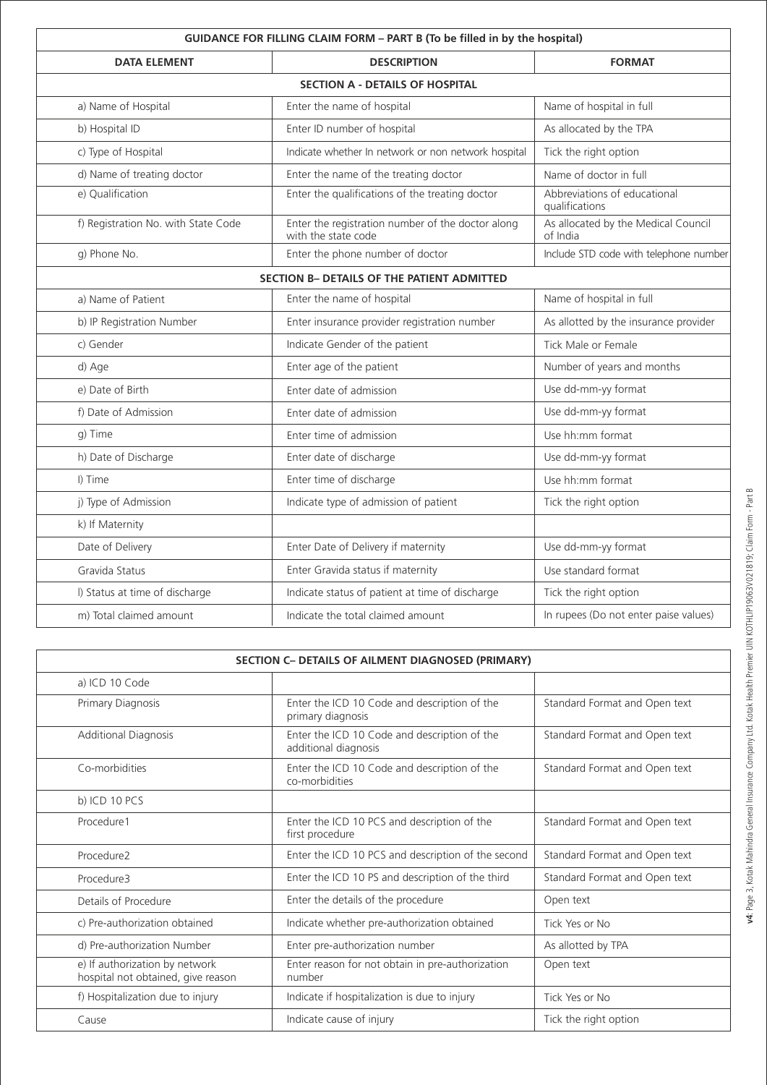| GUIDANCE FOR FILLING CLAIM FORM - PART B (To be filled in by the hospital) |                                                                          |                                                 |  |  |  |  |  |  |  |
|----------------------------------------------------------------------------|--------------------------------------------------------------------------|-------------------------------------------------|--|--|--|--|--|--|--|
| <b>DATA ELEMENT</b>                                                        | <b>DESCRIPTION</b>                                                       | <b>FORMAT</b>                                   |  |  |  |  |  |  |  |
| <b>SECTION A - DETAILS OF HOSPITAL</b>                                     |                                                                          |                                                 |  |  |  |  |  |  |  |
| a) Name of Hospital                                                        | Enter the name of hospital                                               | Name of hospital in full                        |  |  |  |  |  |  |  |
| b) Hospital ID                                                             | Enter ID number of hospital                                              | As allocated by the TPA                         |  |  |  |  |  |  |  |
| c) Type of Hospital                                                        | Indicate whether In network or non network hospital                      | Tick the right option                           |  |  |  |  |  |  |  |
| d) Name of treating doctor                                                 | Enter the name of the treating doctor                                    | Name of doctor in full                          |  |  |  |  |  |  |  |
| e) Qualification                                                           | Enter the qualifications of the treating doctor                          | Abbreviations of educational<br>qualifications  |  |  |  |  |  |  |  |
| f) Registration No. with State Code                                        | Enter the registration number of the doctor along<br>with the state code | As allocated by the Medical Council<br>of India |  |  |  |  |  |  |  |
| g) Phone No.                                                               | Enter the phone number of doctor                                         | Include STD code with telephone number          |  |  |  |  |  |  |  |
|                                                                            | SECTION B- DETAILS OF THE PATIENT ADMITTED                               |                                                 |  |  |  |  |  |  |  |
| a) Name of Patient                                                         | Enter the name of hospital                                               | Name of hospital in full                        |  |  |  |  |  |  |  |
| b) IP Registration Number                                                  | Enter insurance provider registration number                             | As allotted by the insurance provider           |  |  |  |  |  |  |  |
| c) Gender                                                                  | Indicate Gender of the patient                                           | Tick Male or Female                             |  |  |  |  |  |  |  |
| d) Age                                                                     | Enter age of the patient                                                 | Number of years and months                      |  |  |  |  |  |  |  |
| e) Date of Birth                                                           | Enter date of admission                                                  | Use dd-mm-yy format                             |  |  |  |  |  |  |  |
| f) Date of Admission                                                       | Enter date of admission                                                  | Use dd-mm-yy format                             |  |  |  |  |  |  |  |
| q) Time                                                                    | Enter time of admission                                                  | Use hh:mm format                                |  |  |  |  |  |  |  |
| h) Date of Discharge                                                       | Enter date of discharge                                                  | Use dd-mm-yy format                             |  |  |  |  |  |  |  |
| I) Time                                                                    | Enter time of discharge                                                  | Use hh:mm format                                |  |  |  |  |  |  |  |
| j) Type of Admission                                                       | Indicate type of admission of patient                                    | Tick the right option                           |  |  |  |  |  |  |  |
| k) If Maternity                                                            |                                                                          |                                                 |  |  |  |  |  |  |  |
| Date of Delivery                                                           | Enter Date of Delivery if maternity                                      | Use dd-mm-yy format                             |  |  |  |  |  |  |  |
| Gravida Status                                                             | Enter Gravida status if maternity                                        | Use standard format                             |  |  |  |  |  |  |  |
| I) Status at time of discharge                                             | Indicate status of patient at time of discharge                          | Tick the right option                           |  |  |  |  |  |  |  |
| m) Total claimed amount                                                    | Indicate the total claimed amount                                        | In rupees (Do not enter paise values)           |  |  |  |  |  |  |  |

| SECTION C- DETAILS OF AILMENT DIAGNOSED (PRIMARY)                    |                                                                      |                               |  |  |  |  |  |  |
|----------------------------------------------------------------------|----------------------------------------------------------------------|-------------------------------|--|--|--|--|--|--|
| a) ICD 10 Code                                                       |                                                                      |                               |  |  |  |  |  |  |
| Primary Diagnosis                                                    | Enter the ICD 10 Code and description of the<br>primary diagnosis    | Standard Format and Open text |  |  |  |  |  |  |
| <b>Additional Diagnosis</b>                                          | Enter the ICD 10 Code and description of the<br>additional diagnosis | Standard Format and Open text |  |  |  |  |  |  |
| Co-morbidities                                                       | Enter the ICD 10 Code and description of the<br>co-morbidities       | Standard Format and Open text |  |  |  |  |  |  |
| b) ICD 10 $PCS$                                                      |                                                                      |                               |  |  |  |  |  |  |
| Procedure1                                                           | Enter the ICD 10 PCS and description of the<br>first procedure       | Standard Format and Open text |  |  |  |  |  |  |
| Procedure2                                                           | Enter the ICD 10 PCS and description of the second                   | Standard Format and Open text |  |  |  |  |  |  |
| Procedure3                                                           | Enter the ICD 10 PS and description of the third                     | Standard Format and Open text |  |  |  |  |  |  |
| Details of Procedure                                                 | Enter the details of the procedure                                   | Open text                     |  |  |  |  |  |  |
| c) Pre-authorization obtained                                        | Indicate whether pre-authorization obtained                          | Tick Yes or No                |  |  |  |  |  |  |
| d) Pre-authorization Number                                          | Enter pre-authorization number                                       | As allotted by TPA            |  |  |  |  |  |  |
| e) If authorization by network<br>hospital not obtained, give reason | Enter reason for not obtain in pre-authorization<br>number           | Open text                     |  |  |  |  |  |  |
| f) Hospitalization due to injury                                     | Indicate if hospitalization is due to injury                         | Tick Yes or No                |  |  |  |  |  |  |
| Cause                                                                | Indicate cause of injury                                             | Tick the right option         |  |  |  |  |  |  |